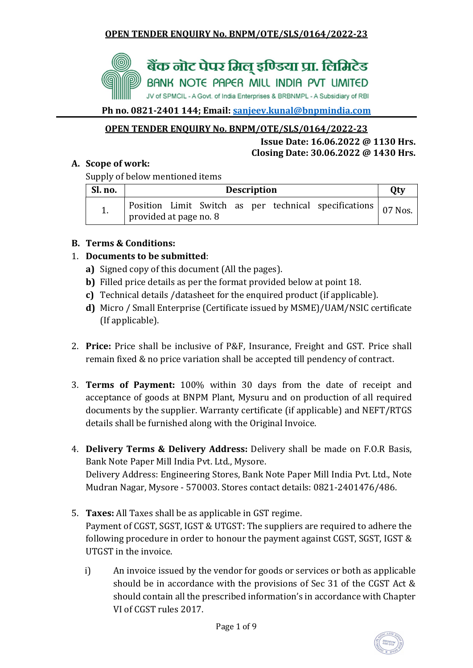

Ph no. 0821-2401 144; Email: sanjeev.kunal@bnpmindia.com

# OPEN TENDER ENQUIRY No. BNPM/OTE/SLS/0164/2022-23

#### Issue Date: 16.06.2022 @ 1130 Hrs. Closing Date: 30.06.2022 @ 1430 Hrs.

# A. Scope of work:

Supply of below mentioned items

| Sl. no. | <b>Description</b>                                                                                      |  |  |  |  |  |  |  |
|---------|---------------------------------------------------------------------------------------------------------|--|--|--|--|--|--|--|
| 1.      | $\vert$ Position Limit Switch as per technical specifications $\vert$ 07 Nos.<br>provided at page no. 8 |  |  |  |  |  |  |  |

# B. Terms & Conditions:

# 1. Documents to be submitted:

- a) Signed copy of this document (All the pages).
- b) Filled price details as per the format provided below at point 18.
- c) Technical details /datasheet for the enquired product (if applicable).
- d) Micro / Small Enterprise (Certificate issued by MSME)/UAM/NSIC certificate (If applicable).
- 2. Price: Price shall be inclusive of P&F, Insurance, Freight and GST. Price shall remain fixed & no price variation shall be accepted till pendency of contract.
- 3. Terms of Payment: 100% within 30 days from the date of receipt and acceptance of goods at BNPM Plant, Mysuru and on production of all required documents by the supplier. Warranty certificate (if applicable) and NEFT/RTGS details shall be furnished along with the Original Invoice.
- 4. Delivery Terms & Delivery Address: Delivery shall be made on F.O.R Basis, Bank Note Paper Mill India Pvt. Ltd., Mysore. Delivery Address: Engineering Stores, Bank Note Paper Mill India Pvt. Ltd., Note Mudran Nagar, Mysore - 570003. Stores contact details: 0821-2401476/486.
- 5. Taxes: All Taxes shall be as applicable in GST regime. Payment of CGST, SGST, IGST & UTGST: The suppliers are required to adhere the following procedure in order to honour the payment against CGST, SGST, IGST & UTGST in the invoice.
	- i) An invoice issued by the vendor for goods or services or both as applicable should be in accordance with the provisions of Sec 31 of the CGST Act & should contain all the prescribed information's in accordance with Chapter VI of CGST rules 2017.

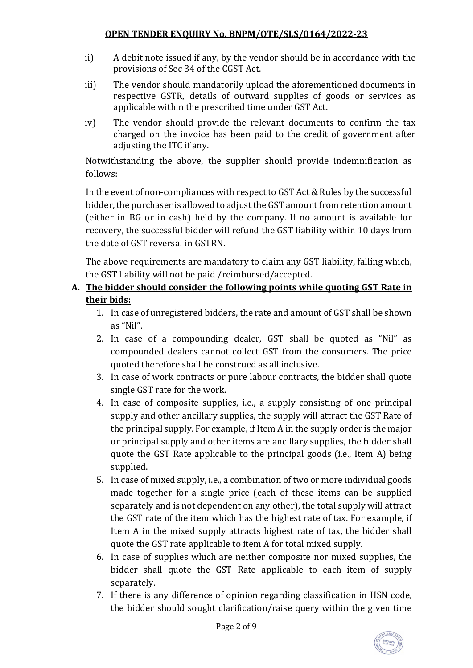- ii) A debit note issued if any, by the vendor should be in accordance with the provisions of Sec 34 of the CGST Act.
- iii) The vendor should mandatorily upload the aforementioned documents in respective GSTR, details of outward supplies of goods or services as applicable within the prescribed time under GST Act.
- iv) The vendor should provide the relevant documents to confirm the tax charged on the invoice has been paid to the credit of government after adjusting the ITC if any.

Notwithstanding the above, the supplier should provide indemnification as follows:

In the event of non-compliances with respect to GST Act & Rules by the successful bidder, the purchaser is allowed to adjust the GST amount from retention amount (either in BG or in cash) held by the company. If no amount is available for recovery, the successful bidder will refund the GST liability within 10 days from the date of GST reversal in GSTRN.

The above requirements are mandatory to claim any GST liability, falling which, the GST liability will not be paid /reimbursed/accepted.

# A. The bidder should consider the following points while quoting GST Rate in their bids:

- 1. In case of unregistered bidders, the rate and amount of GST shall be shown as "Nil".
- 2. In case of a compounding dealer, GST shall be quoted as "Nil" as compounded dealers cannot collect GST from the consumers. The price quoted therefore shall be construed as all inclusive.
- 3. In case of work contracts or pure labour contracts, the bidder shall quote single GST rate for the work.
- 4. In case of composite supplies, i.e., a supply consisting of one principal supply and other ancillary supplies, the supply will attract the GST Rate of the principal supply. For example, if Item A in the supply order is the major or principal supply and other items are ancillary supplies, the bidder shall quote the GST Rate applicable to the principal goods (i.e., Item A) being supplied.
- 5. In case of mixed supply, i.e., a combination of two or more individual goods made together for a single price (each of these items can be supplied separately and is not dependent on any other), the total supply will attract the GST rate of the item which has the highest rate of tax. For example, if Item A in the mixed supply attracts highest rate of tax, the bidder shall quote the GST rate applicable to item A for total mixed supply.
- 6. In case of supplies which are neither composite nor mixed supplies, the bidder shall quote the GST Rate applicable to each item of supply separately.
- 7. If there is any difference of opinion regarding classification in HSN code, the bidder should sought clarification/raise query within the given time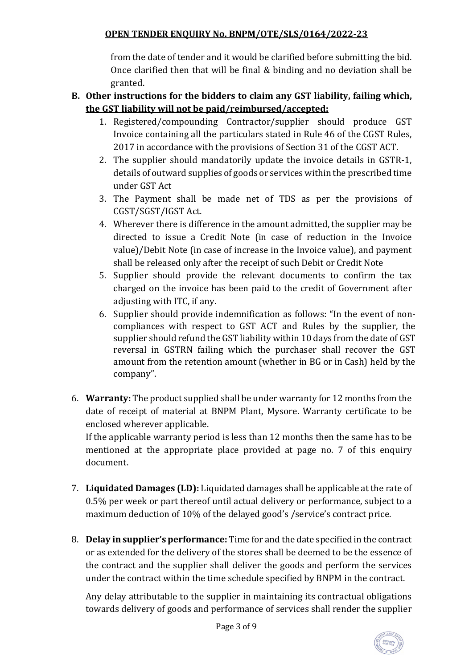from the date of tender and it would be clarified before submitting the bid. Once clarified then that will be final & binding and no deviation shall be granted.

## B. Other instructions for the bidders to claim any GST liability, failing which, the GST liability will not be paid/reimbursed/accepted:

- 1. Registered/compounding Contractor/supplier should produce GST Invoice containing all the particulars stated in Rule 46 of the CGST Rules, 2017 in accordance with the provisions of Section 31 of the CGST ACT.
- 2. The supplier should mandatorily update the invoice details in GSTR-1, details of outward supplies of goods or services within the prescribed time under GST Act
- 3. The Payment shall be made net of TDS as per the provisions of CGST/SGST/IGST Act.
- 4. Wherever there is difference in the amount admitted, the supplier may be directed to issue a Credit Note (in case of reduction in the Invoice value)/Debit Note (in case of increase in the Invoice value), and payment shall be released only after the receipt of such Debit or Credit Note
- 5. Supplier should provide the relevant documents to confirm the tax charged on the invoice has been paid to the credit of Government after adjusting with ITC, if any.
- 6. Supplier should provide indemnification as follows: "In the event of noncompliances with respect to GST ACT and Rules by the supplier, the supplier should refund the GST liability within 10 days from the date of GST reversal in GSTRN failing which the purchaser shall recover the GST amount from the retention amount (whether in BG or in Cash) held by the company".
- 6. Warranty: The product supplied shall be under warranty for 12 months from the date of receipt of material at BNPM Plant, Mysore. Warranty certificate to be enclosed wherever applicable.

If the applicable warranty period is less than 12 months then the same has to be mentioned at the appropriate place provided at page no. 7 of this enquiry document.

- 7. Liquidated Damages (LD): Liquidated damages shall be applicable at the rate of 0.5% per week or part thereof until actual delivery or performance, subject to a maximum deduction of 10% of the delayed good's /service's contract price.
- 8. Delay in supplier's performance: Time for and the date specified in the contract or as extended for the delivery of the stores shall be deemed to be the essence of the contract and the supplier shall deliver the goods and perform the services under the contract within the time schedule specified by BNPM in the contract.

Any delay attributable to the supplier in maintaining its contractual obligations towards delivery of goods and performance of services shall render the supplier

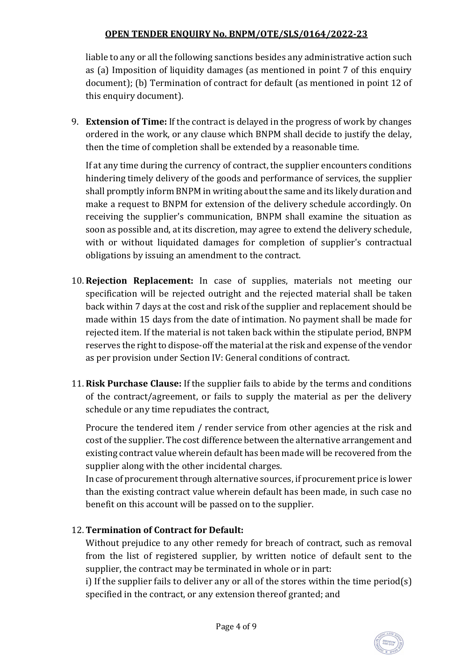liable to any or all the following sanctions besides any administrative action such as (a) Imposition of liquidity damages (as mentioned in point 7 of this enquiry document); (b) Termination of contract for default (as mentioned in point 12 of this enquiry document).

9. Extension of Time: If the contract is delayed in the progress of work by changes ordered in the work, or any clause which BNPM shall decide to justify the delay, then the time of completion shall be extended by a reasonable time.

If at any time during the currency of contract, the supplier encounters conditions hindering timely delivery of the goods and performance of services, the supplier shall promptly inform BNPM in writing about the same and its likely duration and make a request to BNPM for extension of the delivery schedule accordingly. On receiving the supplier's communication, BNPM shall examine the situation as soon as possible and, at its discretion, may agree to extend the delivery schedule, with or without liquidated damages for completion of supplier's contractual obligations by issuing an amendment to the contract.

- 10. Rejection Replacement: In case of supplies, materials not meeting our specification will be rejected outright and the rejected material shall be taken back within 7 days at the cost and risk of the supplier and replacement should be made within 15 days from the date of intimation. No payment shall be made for rejected item. If the material is not taken back within the stipulate period, BNPM reserves the right to dispose-off the material at the risk and expense of the vendor as per provision under Section IV: General conditions of contract.
- 11. Risk Purchase Clause: If the supplier fails to abide by the terms and conditions of the contract/agreement, or fails to supply the material as per the delivery schedule or any time repudiates the contract,

Procure the tendered item / render service from other agencies at the risk and cost of the supplier. The cost difference between the alternative arrangement and existing contract value wherein default has been made will be recovered from the supplier along with the other incidental charges.

In case of procurement through alternative sources, if procurement price is lower than the existing contract value wherein default has been made, in such case no benefit on this account will be passed on to the supplier.

# 12. Termination of Contract for Default:

Without prejudice to any other remedy for breach of contract, such as removal from the list of registered supplier, by written notice of default sent to the supplier, the contract may be terminated in whole or in part:

i) If the supplier fails to deliver any or all of the stores within the time period(s) specified in the contract, or any extension thereof granted; and

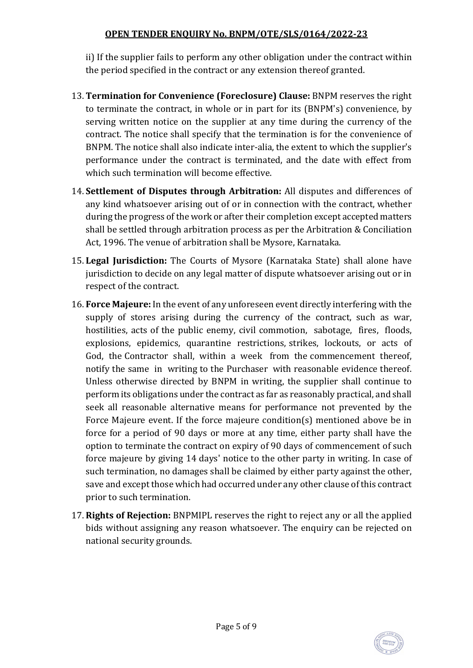ii) If the supplier fails to perform any other obligation under the contract within the period specified in the contract or any extension thereof granted.

- 13. Termination for Convenience (Foreclosure) Clause: BNPM reserves the right to terminate the contract, in whole or in part for its (BNPM's) convenience, by serving written notice on the supplier at any time during the currency of the contract. The notice shall specify that the termination is for the convenience of BNPM. The notice shall also indicate inter-alia, the extent to which the supplier's performance under the contract is terminated, and the date with effect from which such termination will become effective.
- 14. Settlement of Disputes through Arbitration: All disputes and differences of any kind whatsoever arising out of or in connection with the contract, whether during the progress of the work or after their completion except accepted matters shall be settled through arbitration process as per the Arbitration & Conciliation Act, 1996. The venue of arbitration shall be Mysore, Karnataka.
- 15. Legal Jurisdiction: The Courts of Mysore (Karnataka State) shall alone have jurisdiction to decide on any legal matter of dispute whatsoever arising out or in respect of the contract.
- 16. Force Majeure: In the event of any unforeseen event directly interfering with the supply of stores arising during the currency of the contract, such as war, hostilities, acts of the public enemy, civil commotion, sabotage, fires, floods, explosions, epidemics, quarantine restrictions, strikes, lockouts, or acts of God, the Contractor shall, within a week from the commencement thereof, notify the same in writing to the Purchaser with reasonable evidence thereof. Unless otherwise directed by BNPM in writing, the supplier shall continue to perform its obligations under the contract as far as reasonably practical, and shall seek all reasonable alternative means for performance not prevented by the Force Majeure event. If the force majeure condition(s) mentioned above be in force for a period of 90 days or more at any time, either party shall have the option to terminate the contract on expiry of 90 days of commencement of such force majeure by giving 14 days' notice to the other party in writing. In case of such termination, no damages shall be claimed by either party against the other, save and except those which had occurred under any other clause of this contract prior to such termination.
- 17. Rights of Rejection: BNPMIPL reserves the right to reject any or all the applied bids without assigning any reason whatsoever. The enquiry can be rejected on national security grounds.

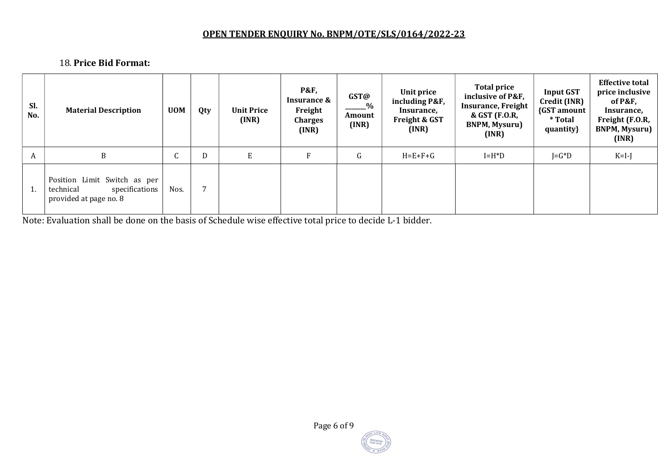## 18. Price Bid Format:

| Sl.<br>No. | <b>Material Description</b>                                                           | <b>UOM</b>      | Qty            | <b>Unit Price</b><br>(INR) | <b>P&amp;F,</b><br>Insurance &<br>Freight<br><b>Charges</b><br>(INR) | GST@<br>$ \frac{9}{6}$<br>Amount<br>(INR) | Unit price<br>including P&F,<br>Insurance,<br>Freight & GST<br>(INR) | <b>Total price</b><br>inclusive of P&F,<br><b>Insurance, Freight</b><br>& GST (F.O.R,<br><b>BNPM, Mysuru)</b><br>(INR) | <b>Input GST</b><br>Credit (INR)<br>{GST amount<br>* Total<br>quantity} | <b>Effective total</b><br>price inclusive<br>of P&F,<br>Insurance,<br>Freight (F.O.R,<br><b>BNPM, Mysuru)</b><br>(INR) |
|------------|---------------------------------------------------------------------------------------|-----------------|----------------|----------------------------|----------------------------------------------------------------------|-------------------------------------------|----------------------------------------------------------------------|------------------------------------------------------------------------------------------------------------------------|-------------------------------------------------------------------------|------------------------------------------------------------------------------------------------------------------------|
| A          | B                                                                                     | $\sqrt{2}$<br>U | D              | E                          | F                                                                    | G                                         | $H = E + F + G$                                                      | $I=H^*D$                                                                                                               | $J = G^*D$                                                              | $K=I-J$                                                                                                                |
| 1.         | Position Limit Switch as per<br>technical<br>specifications<br>provided at page no. 8 | Nos.            | $\overline{ }$ |                            |                                                                      |                                           |                                                                      |                                                                                                                        |                                                                         |                                                                                                                        |

Note: Evaluation shall be done on the basis of Schedule wise effective total price to decide L-1 bidder.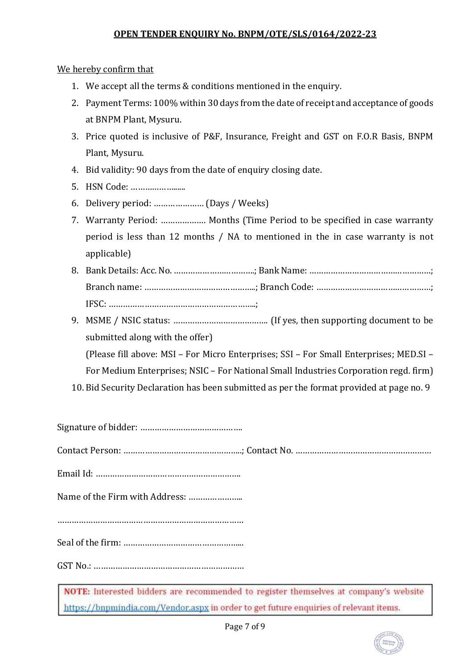We hereby confirm that

- 1. We accept all the terms & conditions mentioned in the enquiry.
- 2. Payment Terms: 100% within 30 days from the date of receipt and acceptance of goods at BNPM Plant, Mysuru.
- 3. Price quoted is inclusive of P&F, Insurance, Freight and GST on F.O.R Basis, BNPM Plant, Mysuru.
- 4. Bid validity: 90 days from the date of enquiry closing date.
- 5. HSN Code: ………………......
- 6. Delivery period: ………………… (Days / Weeks)
- 7. Warranty Period: ………………. Months (Time Period to be specified in case warranty period is less than 12 months / NA to mentioned in the in case warranty is not applicable)
- 8. Bank Details: Acc. No. …………………………….; Bank Name: ……………………………………………; Branch name: ………………………………………..; Branch Code: …………………………………………; IFSC: ……………………………………………………..;
- 9. MSME / NSIC status: …………………………………. (If yes, then supporting document to be submitted along with the offer)

(Please fill above: MSI – For Micro Enterprises; SSI – For Small Enterprises; MED.SI –

For Medium Enterprises; NSIC – For National Small Industries Corporation regd. firm)

10. Bid Security Declaration has been submitted as per the format provided at page no. 9

Signature of bidder: ……………………………………. Contact Person: …………………………………………..; Contact No. ………………………………………………… Email Id: ……………………………………………………. Name of the Firm with Address: ………………….. …………………………………………………………………… Seal of the firm: …………………………………………... GST No.: ……………………………………………………… NOTE: Interested bidders are recommended to register themselves at company's website

https://bnpmindia.com/Vendor.aspx in order to get future enquiries of relevant items.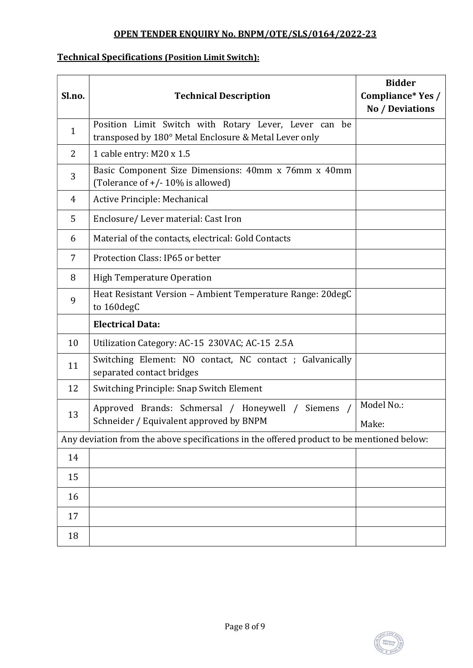## Technical Specifications (Position Limit Switch):

| Sl.no.                                                                                    | <b>Technical Description</b>                                                                                   | <b>Bidder</b><br>Compliance* Yes /<br>No / Deviations |  |  |  |  |  |
|-------------------------------------------------------------------------------------------|----------------------------------------------------------------------------------------------------------------|-------------------------------------------------------|--|--|--|--|--|
| $\mathbf{1}$                                                                              | Position Limit Switch with Rotary Lever, Lever can be<br>transposed by 180° Metal Enclosure & Metal Lever only |                                                       |  |  |  |  |  |
| $\overline{2}$                                                                            | 1 cable entry: M20 x 1.5                                                                                       |                                                       |  |  |  |  |  |
| 3                                                                                         | Basic Component Size Dimensions: 40mm x 76mm x 40mm<br>(Tolerance of $+/-10\%$ is allowed)                     |                                                       |  |  |  |  |  |
| 4                                                                                         | Active Principle: Mechanical                                                                                   |                                                       |  |  |  |  |  |
| 5                                                                                         | Enclosure/Lever material: Cast Iron                                                                            |                                                       |  |  |  |  |  |
| 6                                                                                         | Material of the contacts, electrical: Gold Contacts                                                            |                                                       |  |  |  |  |  |
| 7                                                                                         | Protection Class: IP65 or better                                                                               |                                                       |  |  |  |  |  |
| 8                                                                                         | <b>High Temperature Operation</b>                                                                              |                                                       |  |  |  |  |  |
| 9                                                                                         | Heat Resistant Version - Ambient Temperature Range: 20degC<br>to 160degC                                       |                                                       |  |  |  |  |  |
|                                                                                           | <b>Electrical Data:</b>                                                                                        |                                                       |  |  |  |  |  |
| 10                                                                                        | Utilization Category: AC-15 230VAC; AC-15 2.5A                                                                 |                                                       |  |  |  |  |  |
| 11                                                                                        | Switching Element: NO contact, NC contact; Galvanically<br>separated contact bridges                           |                                                       |  |  |  |  |  |
| 12                                                                                        | Switching Principle: Snap Switch Element                                                                       |                                                       |  |  |  |  |  |
| 13                                                                                        | Approved Brands: Schmersal / Honeywell /<br>Siemens<br>Schneider / Equivalent approved by BNPM                 | Model No.:<br>Make:                                   |  |  |  |  |  |
| Any deviation from the above specifications in the offered product to be mentioned below: |                                                                                                                |                                                       |  |  |  |  |  |
| 14                                                                                        |                                                                                                                |                                                       |  |  |  |  |  |
| 15                                                                                        |                                                                                                                |                                                       |  |  |  |  |  |
| 16                                                                                        |                                                                                                                |                                                       |  |  |  |  |  |
| 17                                                                                        |                                                                                                                |                                                       |  |  |  |  |  |
| 18                                                                                        |                                                                                                                |                                                       |  |  |  |  |  |